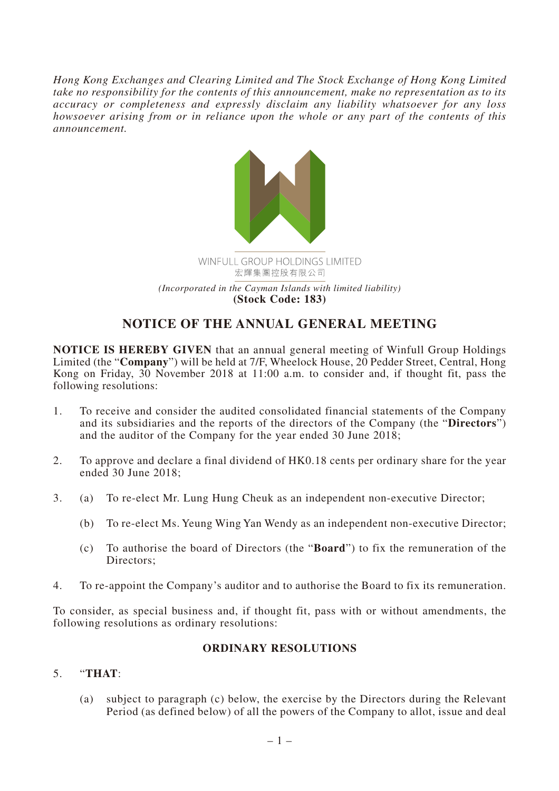*Hong Kong Exchanges and Clearing Limited and The Stock Exchange of Hong Kong Limited take no responsibility for the contents of this announcement, make no representation as to its accuracy or completeness and expressly disclaim any liability whatsoever for any loss howsoever arising from or in reliance upon the whole or any part of the contents of this announcement.*



## **NOTICE OF THE ANNUAL GENERAL MEETING**

**NOTICE IS HEREBY GIVEN** that an annual general meeting of Winfull Group Holdings Limited (the "**Company**") will be held at 7/F, Wheelock House, 20 Pedder Street, Central, Hong Kong on Friday, 30 November 2018 at 11:00 a.m. to consider and, if thought fit, pass the following resolutions:

- 1. To receive and consider the audited consolidated financial statements of the Company and its subsidiaries and the reports of the directors of the Company (the "**Directors**") and the auditor of the Company for the year ended 30 June 2018;
- 2. To approve and declare a final dividend of HK0.18 cents per ordinary share for the year ended 30 June 2018;
- 3. (a) To re-elect Mr. Lung Hung Cheuk as an independent non-executive Director;
	- (b) To re-elect Ms. Yeung Wing Yan Wendy as an independent non-executive Director;
	- (c) To authorise the board of Directors (the "**Board**") to fix the remuneration of the Directors;
- 4. To re-appoint the Company's auditor and to authorise the Board to fix its remuneration.

To consider, as special business and, if thought fit, pass with or without amendments, the following resolutions as ordinary resolutions:

## **ORDINARY RESOLUTIONS**

## 5. "**THAT**:

(a) subject to paragraph (c) below, the exercise by the Directors during the Relevant Period (as defined below) of all the powers of the Company to allot, issue and deal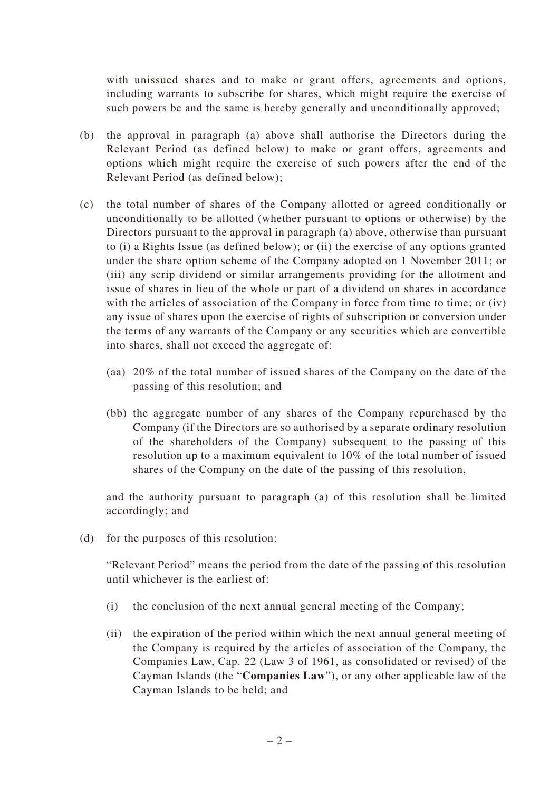with unissued shares and to make or grant offers, agreements and options, including warrants to subscribe for shares, which might require the exercise of such powers be and the same is hereby generally and unconditionally approved;

- (b) the approval in paragraph (a) above shall authorise the Directors during the Relevant Period (as defined below) to make or grant offers, agreements and options which might require the exercise of such powers after the end of the Relevant Period (as defined below);
- (c) the total number of shares of the Company allotted or agreed conditionally or unconditionally to be allotted (whether pursuant to options or otherwise) by the Directors pursuant to the approval in paragraph (a) above, otherwise than pursuant to (i) a Rights Issue (as defined below); or (ii) the exercise of any options granted under the share option scheme of the Company adopted on 1 November 2011; or (iii) any scrip dividend or similar arrangements providing for the allotment and issue of shares in lieu of the whole or part of a dividend on shares in accordance with the articles of association of the Company in force from time to time; or (iv) any issue of shares upon the exercise of rights of subscription or conversion under the terms of any warrants of the Company or any securities which are convertible into shares, shall not exceed the aggregate of:
	- (aa) 20% of the total number of issued shares of the Company on the date of the passing of this resolution; and
	- (bb) the aggregate number of any shares of the Company repurchased by the Company (if the Directors are so authorised by a separate ordinary resolution of the shareholders of the Company) subsequent to the passing of this resolution up to a maximum equivalent to 10% of the total number of issued shares of the Company on the date of the passing of this resolution,

and the authority pursuant to paragraph (a) of this resolution shall be limited accordingly; and

(d) for the purposes of this resolution:

"Relevant Period" means the period from the date of the passing of this resolution until whichever is the earliest of:

- (i) the conclusion of the next annual general meeting of the Company;
- (ii) the expiration of the period within which the next annual general meeting of the Company is required by the articles of association of the Company, the Companies Law, Cap. 22 (Law 3 of 1961, as consolidated or revised) of the Cayman Islands (the "**Companies Law**"), or any other applicable law of the Cayman Islands to be held; and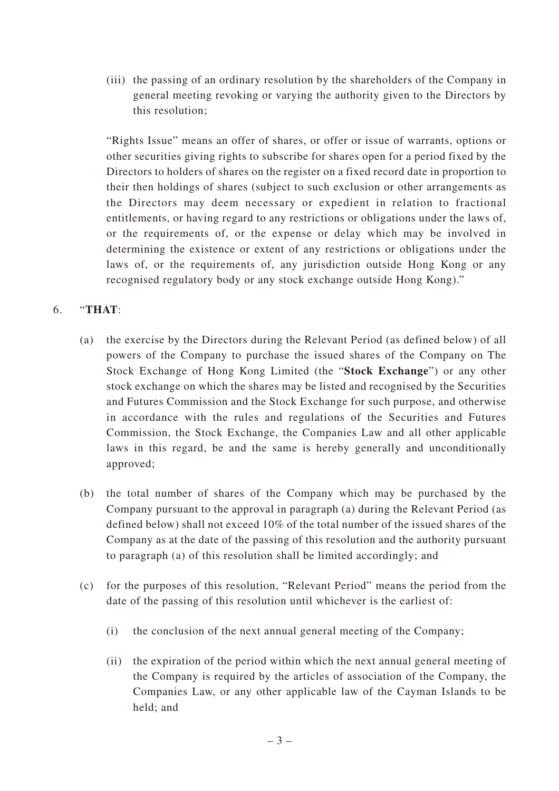(iii) the passing of an ordinary resolution by the shareholders of the Company in general meeting revoking or varying the authority given to the Directors by this resolution;

"Rights Issue" means an offer of shares, or offer or issue of warrants, options or other securities giving rights to subscribe for shares open for a period fixed by the Directors to holders of shares on the register on a fixed record date in proportion to their then holdings of shares (subject to such exclusion or other arrangements as the Directors may deem necessary or expedient in relation to fractional entitlements, or having regard to any restrictions or obligations under the laws of, or the requirements of, or the expense or delay which may be involved in determining the existence or extent of any restrictions or obligations under the laws of, or the requirements of, any jurisdiction outside Hong Kong or any recognised regulatory body or any stock exchange outside Hong Kong)."

## 6. "**THAT**:

- (a) the exercise by the Directors during the Relevant Period (as defined below) of all powers of the Company to purchase the issued shares of the Company on The Stock Exchange of Hong Kong Limited (the "**Stock Exchange**") or any other stock exchange on which the shares may be listed and recognised by the Securities and Futures Commission and the Stock Exchange for such purpose, and otherwise in accordance with the rules and regulations of the Securities and Futures Commission, the Stock Exchange, the Companies Law and all other applicable laws in this regard, be and the same is hereby generally and unconditionally approved;
- (b) the total number of shares of the Company which may be purchased by the Company pursuant to the approval in paragraph (a) during the Relevant Period (as defined below) shall not exceed 10% of the total number of the issued shares of the Company as at the date of the passing of this resolution and the authority pursuant to paragraph (a) of this resolution shall be limited accordingly; and
- (c) for the purposes of this resolution, "Relevant Period" means the period from the date of the passing of this resolution until whichever is the earliest of:
	- (i) the conclusion of the next annual general meeting of the Company;
	- (ii) the expiration of the period within which the next annual general meeting of the Company is required by the articles of association of the Company, the Companies Law, or any other applicable law of the Cayman Islands to be held; and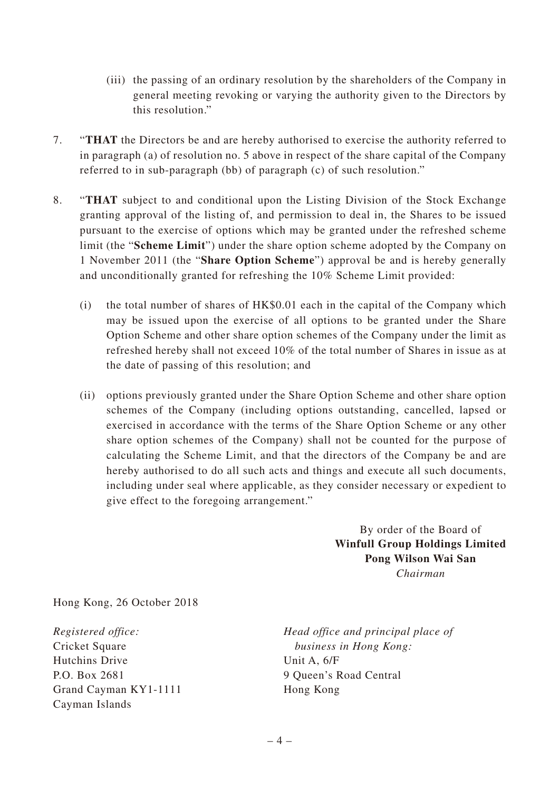- (iii) the passing of an ordinary resolution by the shareholders of the Company in general meeting revoking or varying the authority given to the Directors by this resolution."
- 7. "**THAT** the Directors be and are hereby authorised to exercise the authority referred to in paragraph (a) of resolution no. 5 above in respect of the share capital of the Company referred to in sub-paragraph (bb) of paragraph (c) of such resolution."
- 8. "**THAT** subject to and conditional upon the Listing Division of the Stock Exchange granting approval of the listing of, and permission to deal in, the Shares to be issued pursuant to the exercise of options which may be granted under the refreshed scheme limit (the "**Scheme Limit**") under the share option scheme adopted by the Company on 1 November 2011 (the "**Share Option Scheme**") approval be and is hereby generally and unconditionally granted for refreshing the 10% Scheme Limit provided:
	- (i) the total number of shares of HK\$0.01 each in the capital of the Company which may be issued upon the exercise of all options to be granted under the Share Option Scheme and other share option schemes of the Company under the limit as refreshed hereby shall not exceed 10% of the total number of Shares in issue as at the date of passing of this resolution; and
	- (ii) options previously granted under the Share Option Scheme and other share option schemes of the Company (including options outstanding, cancelled, lapsed or exercised in accordance with the terms of the Share Option Scheme or any other share option schemes of the Company) shall not be counted for the purpose of calculating the Scheme Limit, and that the directors of the Company be and are hereby authorised to do all such acts and things and execute all such documents, including under seal where applicable, as they consider necessary or expedient to give effect to the foregoing arrangement."

By order of the Board of **Winfull Group Holdings Limited Pong Wilson Wai San** *Chairman*

Hong Kong, 26 October 2018

*Registered office:* Cricket Square Hutchins Drive P.O. Box 2681 Grand Cayman KY1-1111 Cayman Islands

*Head office and principal place of business in Hong Kong:* Unit A, 6/F 9 Queen's Road Central Hong Kong